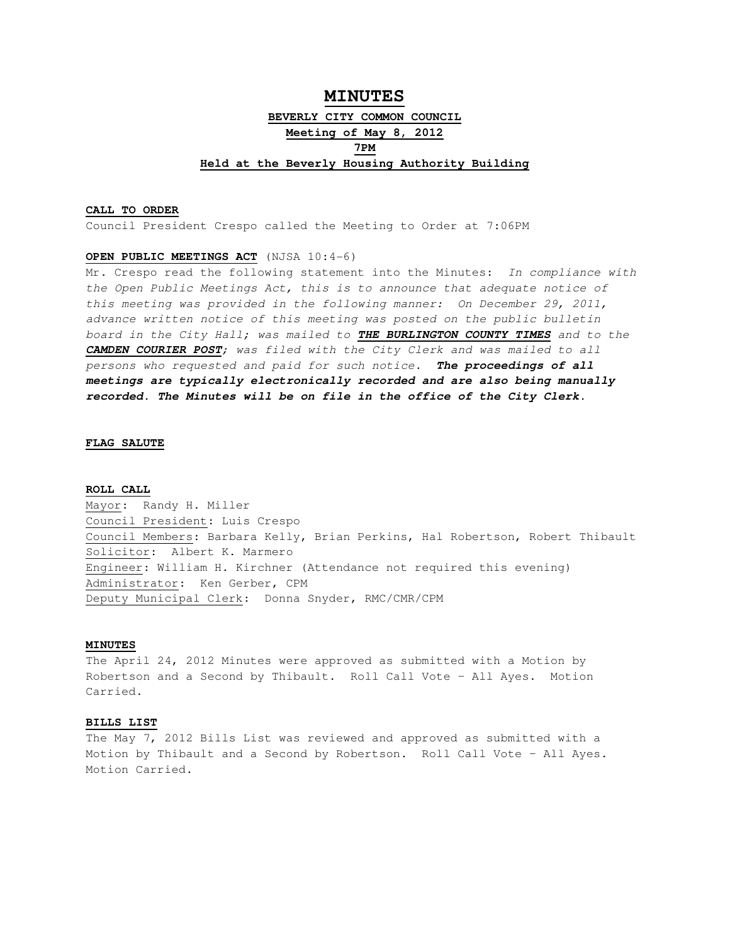# **MINUTES BEVERLY CITY COMMON COUNCIL Meeting of May 8, 2012 7PM Held at the Beverly Housing Authority Building**

# **CALL TO ORDER**

Council President Crespo called the Meeting to Order at 7:06PM

## **OPEN PUBLIC MEETINGS ACT** (NJSA 10:4-6)

Mr. Crespo read the following statement into the Minutes: In compliance with the Open Public Meetings Act, this is to announce that adequate notice of this meeting was provided in the following manner: On December 29, 2011, advance written notice of this meeting was posted on the public bulletin board in the City Hall; was mailed to **THE BURLINGTON COUNTY TIMES** and to the **CAMDEN COURIER POST**; was filed with the City Clerk and was mailed to all persons who requested and paid for such notice. **The proceedings of all meetings are typically electronically recorded and are also being manually recorded. The Minutes will be on file in the office of the City Clerk.** 

### **FLAG SALUTE**

## **ROLL CALL**

Mayor: Randy H. Miller Council President: Luis Crespo Council Members: Barbara Kelly, Brian Perkins, Hal Robertson, Robert Thibault Solicitor: Albert K. Marmero Engineer: William H. Kirchner (Attendance not required this evening) Administrator: Ken Gerber, CPM Deputy Municipal Clerk: Donna Snyder, RMC/CMR/CPM

#### **MINUTES**

The April 24, 2012 Minutes were approved as submitted with a Motion by Robertson and a Second by Thibault. Roll Call Vote – All Ayes. Motion Carried.

# **BILLS LIST**

The May 7, 2012 Bills List was reviewed and approved as submitted with a Motion by Thibault and a Second by Robertson. Roll Call Vote – All Ayes. Motion Carried.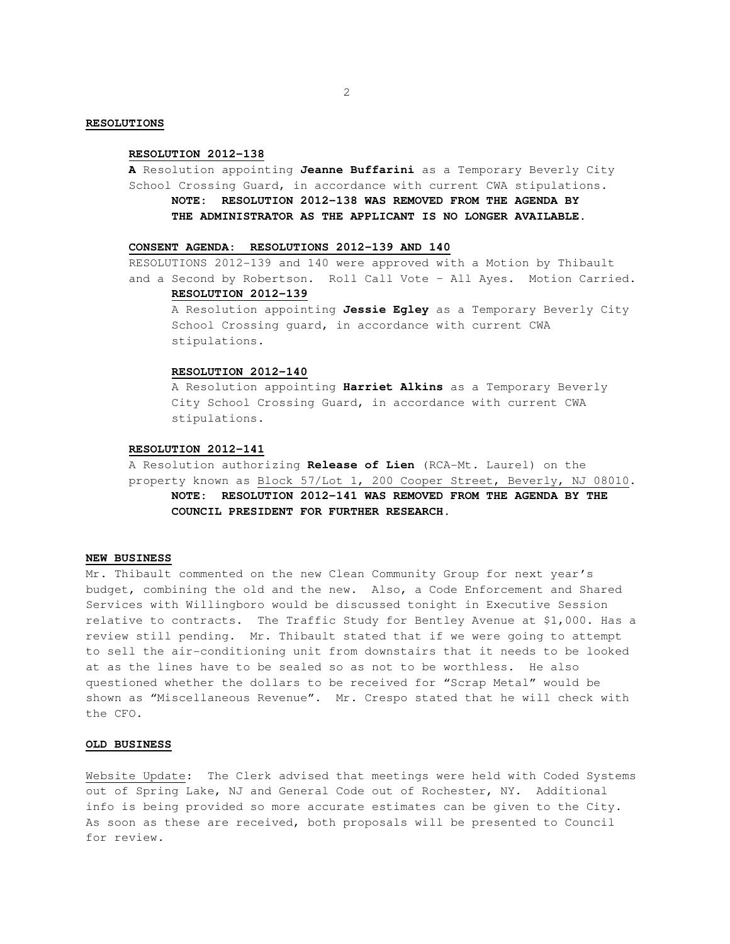## **RESOLUTIONS**

#### **RESOLUTION 2012-138**

**A** Resolution appointing **Jeanne Buffarini** as a Temporary Beverly City School Crossing Guard, in accordance with current CWA stipulations. **NOTE: RESOLUTION 2012-138 WAS REMOVED FROM THE AGENDA BY THE ADMINISTRATOR AS THE APPLICANT IS NO LONGER AVAILABLE.** 

## **CONSENT AGENDA: RESOLUTIONS 2012-139 AND 140**

RESOLUTIONS 2012-139 and 140 were approved with a Motion by Thibault and a Second by Robertson. Roll Call Vote – All Ayes. Motion Carried.

# **RESOLUTION 2012-139**

 A Resolution appointing **Jessie Egley** as a Temporary Beverly City School Crossing guard, in accordance with current CWA stipulations.

# **RESOLUTION 2012-140**

 A Resolution appointing **Harriet Alkins** as a Temporary Beverly City School Crossing Guard, in accordance with current CWA stipulations.

## **RESOLUTION 2012-141**

A Resolution authorizing **Release of Lien** (RCA-Mt. Laurel) on the property known as Block 57/Lot 1, 200 Cooper Street, Beverly, NJ 08010.  **NOTE: RESOLUTION 2012-141 WAS REMOVED FROM THE AGENDA BY THE COUNCIL PRESIDENT FOR FURTHER RESEARCH.** 

# **NEW BUSINESS**

Mr. Thibault commented on the new Clean Community Group for next year's budget, combining the old and the new. Also, a Code Enforcement and Shared Services with Willingboro would be discussed tonight in Executive Session relative to contracts. The Traffic Study for Bentley Avenue at \$1,000. Has a review still pending. Mr. Thibault stated that if we were going to attempt to sell the air-conditioning unit from downstairs that it needs to be looked at as the lines have to be sealed so as not to be worthless. He also questioned whether the dollars to be received for "Scrap Metal" would be shown as "Miscellaneous Revenue". Mr. Crespo stated that he will check with the CFO.

#### **OLD BUSINESS**

Website Update: The Clerk advised that meetings were held with Coded Systems out of Spring Lake, NJ and General Code out of Rochester, NY. Additional info is being provided so more accurate estimates can be given to the City. As soon as these are received, both proposals will be presented to Council for review.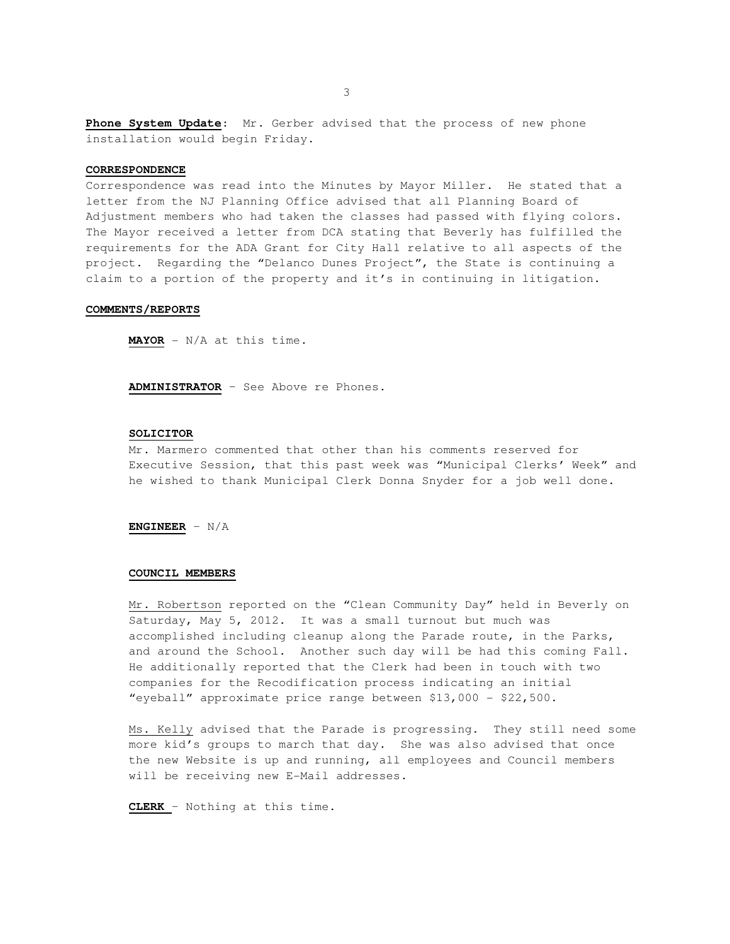**Phone System Update**: Mr. Gerber advised that the process of new phone installation would begin Friday.

# **CORRESPONDENCE**

Correspondence was read into the Minutes by Mayor Miller. He stated that a letter from the NJ Planning Office advised that all Planning Board of Adjustment members who had taken the classes had passed with flying colors. The Mayor received a letter from DCA stating that Beverly has fulfilled the requirements for the ADA Grant for City Hall relative to all aspects of the project. Regarding the "Delanco Dunes Project", the State is continuing a claim to a portion of the property and it's in continuing in litigation.

## **COMMENTS/REPORTS**

**MAYOR** - N/A at this time.

**ADMINISTRATOR** – See Above re Phones.

## **SOLICITOR**

 Mr. Marmero commented that other than his comments reserved for Executive Session, that this past week was "Municipal Clerks' Week" and he wished to thank Municipal Clerk Donna Snyder for a job well done.

**ENGINEER** – N/A

## **COUNCIL MEMBERS**

Mr. Robertson reported on the "Clean Community Day" held in Beverly on Saturday, May 5, 2012. It was a small turnout but much was accomplished including cleanup along the Parade route, in the Parks, and around the School. Another such day will be had this coming Fall. He additionally reported that the Clerk had been in touch with two companies for the Recodification process indicating an initial "eyeball" approximate price range between \$13,000 - \$22,500.

Ms. Kelly advised that the Parade is progressing. They still need some more kid's groups to march that day. She was also advised that once the new Website is up and running, all employees and Council members will be receiving new E-Mail addresses.

**CLERK** – Nothing at this time.

3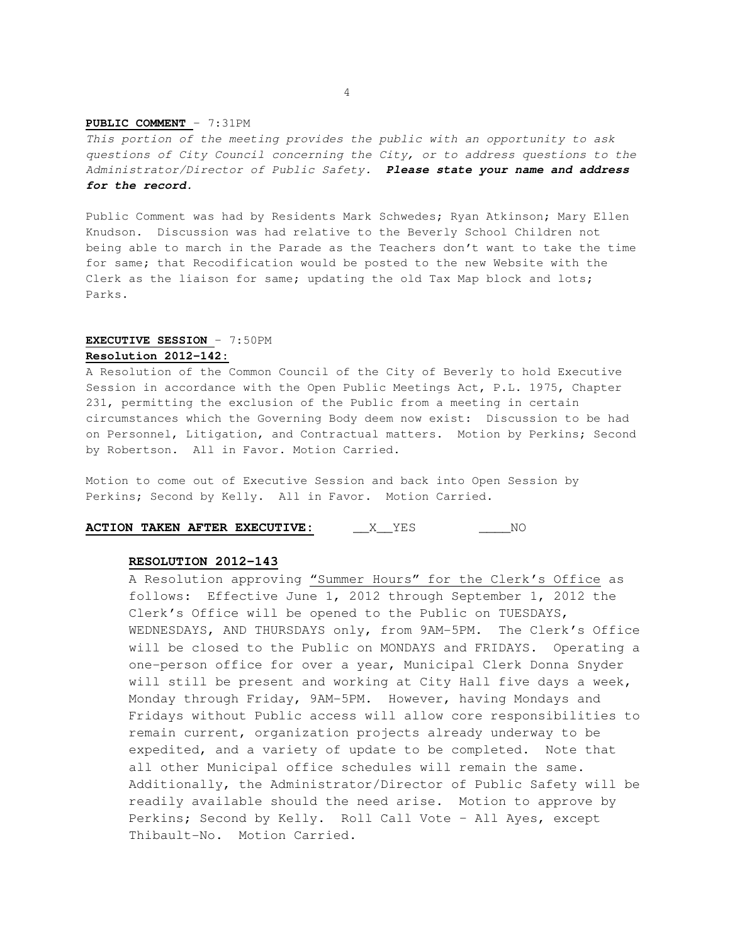## **PUBLIC COMMENT** – 7:31PM

This portion of the meeting provides the public with an opportunity to ask questions of City Council concerning the City, or to address questions to the Administrator/Director of Public Safety. **Please state your name and address for the record.** 

Public Comment was had by Residents Mark Schwedes; Ryan Atkinson; Mary Ellen Knudson. Discussion was had relative to the Beverly School Children not being able to march in the Parade as the Teachers don't want to take the time for same; that Recodification would be posted to the new Website with the Clerk as the liaison for same; updating the old Tax Map block and lots; Parks.

# **EXECUTIVE SESSION** – 7:50PM **Resolution 2012-142:**

A Resolution of the Common Council of the City of Beverly to hold Executive Session in accordance with the Open Public Meetings Act, P.L. 1975, Chapter 231, permitting the exclusion of the Public from a meeting in certain circumstances which the Governing Body deem now exist: Discussion to be had on Personnel, Litigation, and Contractual matters. Motion by Perkins; Second by Robertson. All in Favor. Motion Carried.

Motion to come out of Executive Session and back into Open Session by Perkins; Second by Kelly. All in Favor. Motion Carried.

**ACTION TAKEN AFTER EXECUTIVE:** \_\_\_\_X\_\_YES \_\_\_\_\_\_NO

## **RESOLUTION 2012-143**

 A Resolution approving "Summer Hours" for the Clerk's Office as follows: Effective June 1, 2012 through September 1, 2012 the Clerk's Office will be opened to the Public on TUESDAYS, WEDNESDAYS, AND THURSDAYS only, from 9AM-5PM. The Clerk's Office will be closed to the Public on MONDAYS and FRIDAYS. Operating a one-person office for over a year, Municipal Clerk Donna Snyder will still be present and working at City Hall five days a week, Monday through Friday, 9AM-5PM. However, having Mondays and Fridays without Public access will allow core responsibilities to remain current, organization projects already underway to be expedited, and a variety of update to be completed. Note that all other Municipal office schedules will remain the same. Additionally, the Administrator/Director of Public Safety will be readily available should the need arise. Motion to approve by Perkins; Second by Kelly. Roll Call Vote – All Ayes, except Thibault-No. Motion Carried.